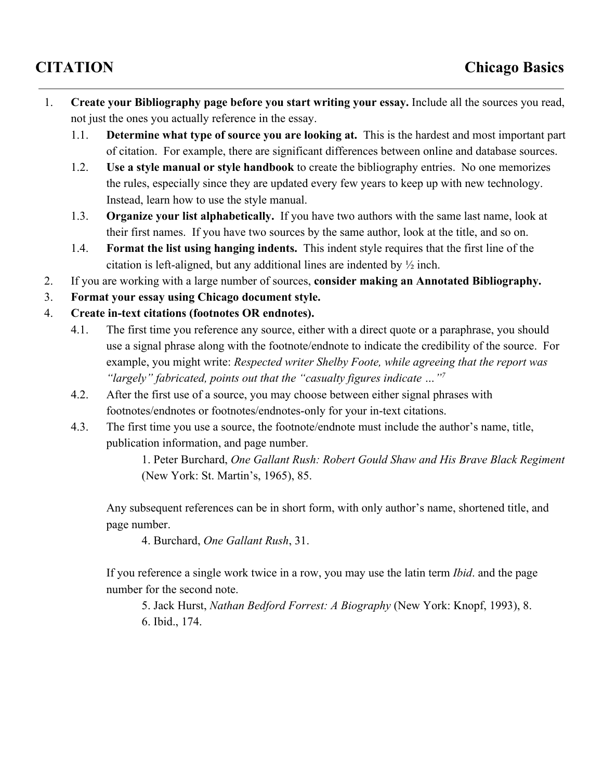- 1. **Create your Bibliography page before you start writing your essay.**Include all the sources you read, not just the ones you actually reference in the essay.
	- 1.1. **Determine what type of source you are looking at.** This is the hardest and most important part of citation. For example, there are significant differences between online and database sources.
	- 1.2. **Use a style manual or style handbook**to create the bibliography entries. No one memorizes the rules, especially since they are updated every few years to keep up with new technology. Instead, learn how to use the style manual.
	- 1.3. **Organize your list alphabetically.**If you have two authors with the same last name, look at their first names. If you have two sources by the same author, look at the title, and so on.
	- 1.4. **Format the list using hanging indents.** This indent style requires that the first line of the citation is left-aligned, but any additional lines are indented by  $\frac{1}{2}$  inch.
- 2. If you are working with a large number of sources, **consider making an Annotated Bibliography.**
- 3. **Format your essay using Chicago document style.**
- 4. **Create intext citations (footnotes OR endnotes).**
	- 4.1. The first time you reference any source, either with a direct quote or a paraphrase, you should use a signal phrase along with the footnote/endnote to indicate the credibility of the source. For example, you might write: *Respected writer Shelby Foote, while agreeing that the report was "largely" fabricated, points out that the "casualty figures indicate …" 7*
	- 4.2. After the first use of a source, you may choose between either signal phrases with footnotes/endnotes or footnotes/endnotes-only for your in-text citations.
	- 4.3. The first time you use a source, the footnote/endnote must include the author's name, title, publication information, and page number.

1. Peter Burchard, *One Gallant Rush: Robert Gould Shaw and His Brave Black Regiment* (New York: St. Martin's, 1965), 85.

Any subsequent references can be in short form, with only author's name, shortened title, and page number.

4. Burchard, *One Gallant Rush*, 31.

If you reference a single work twice in a row, you may use the latin term *Ibid*. and the page number for the second note.

5. Jack Hurst, *Nathan Bedford Forrest: A Biography* (New York: Knopf, 1993), 8. 6. Ibid., 174.